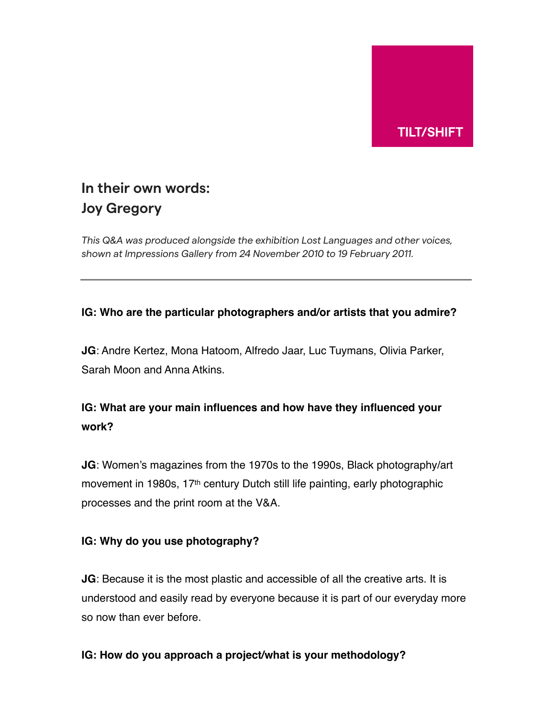

# **In their own words: Joy Gregory**

*This Q&A was produced alongside the exhibition Lost Languages and other voices, shown at Impressions Gallery from 24 November 2010 to 19 February 2011.*

## **IG: Who are the particular photographers and/or artists that you admire?**

**JG**: Andre Kertez, Mona Hatoom, Alfredo Jaar, Luc Tuymans, Olivia Parker, Sarah Moon and Anna Atkins.

## **IG: What are your main influences and how have they influenced your work?**

**JG**: Women's magazines from the 1970s to the 1990s, Black photography/art movement in 1980s, 17th century Dutch still life painting, early photographic processes and the print room at the V&A.

## **IG: Why do you use photography?**

**JG**: Because it is the most plastic and accessible of all the creative arts. It is understood and easily read by everyone because it is part of our everyday more so now than ever before.

## **IG: How do you approach a project/what is your methodology?**